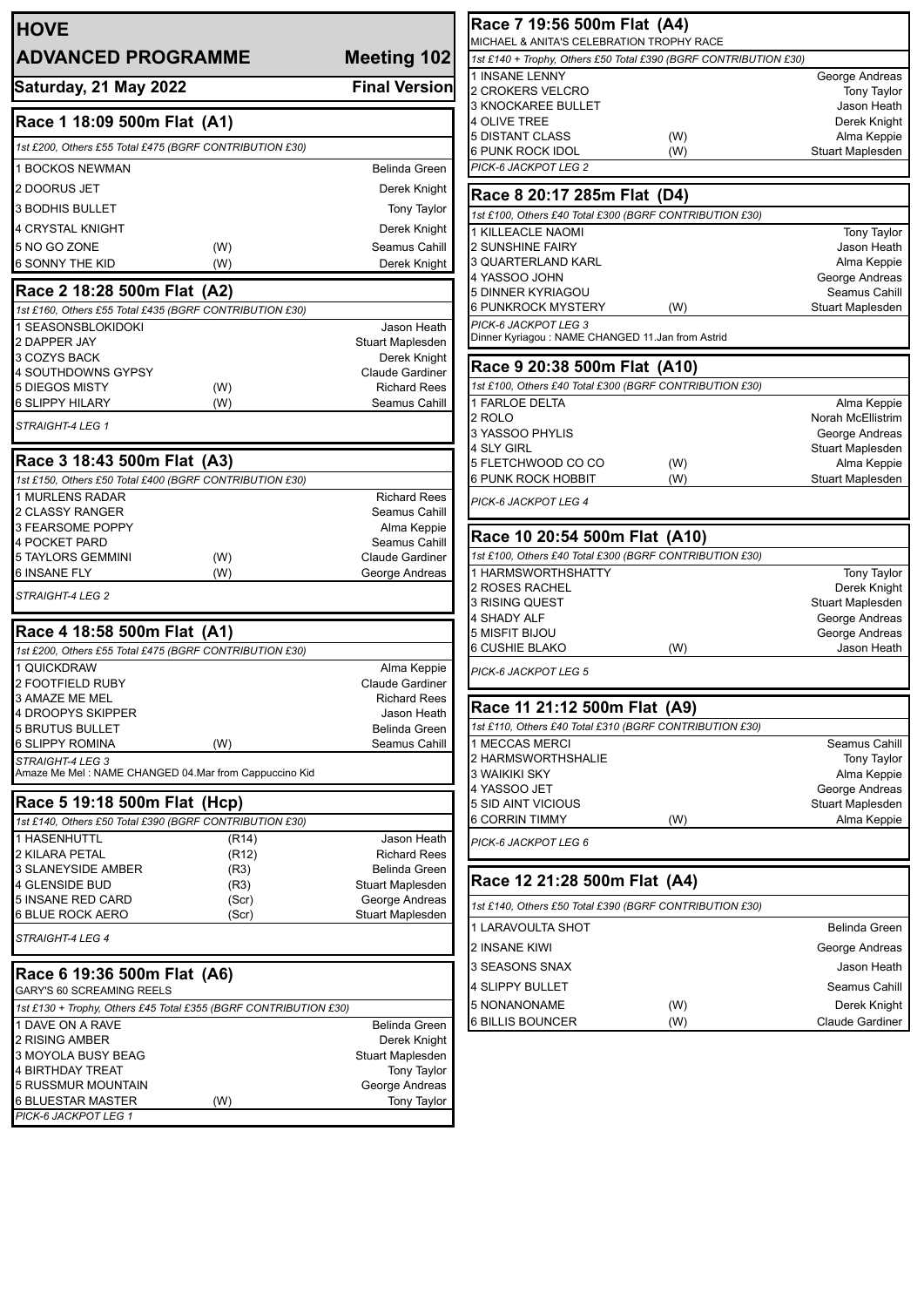| <b>HOVE</b><br><b>ADVANCED PROGRAMME</b>                                                |                                                                  | <b>Meeting 102</b>                     |
|-----------------------------------------------------------------------------------------|------------------------------------------------------------------|----------------------------------------|
| Saturday, 21 May 2022                                                                   |                                                                  | <b>Final Version</b>                   |
| Race 1 18:09 500m Flat (A1)                                                             |                                                                  |                                        |
| 1st £200, Others £55 Total £475 (BGRF CONTRIBUTION £30)                                 |                                                                  |                                        |
| 1 BOCKOS NEWMAN                                                                         |                                                                  | <b>Belinda Green</b>                   |
| 2 DOORUS JET                                                                            |                                                                  | Derek Knight                           |
| <b>3 BODHIS BULLET</b>                                                                  |                                                                  | <b>Tony Taylor</b>                     |
| <b>4 CRYSTAL KNIGHT</b>                                                                 |                                                                  | Derek Knight                           |
| 5 NO GO ZONE                                                                            | (W)                                                              | Seamus Cahill                          |
| <b>6 SONNY THE KID</b>                                                                  | (W)                                                              | Derek Knight                           |
| Race 2 18:28 500m Flat (A2)                                                             |                                                                  |                                        |
| 1st £160, Others £55 Total £435 (BGRF CONTRIBUTION £30)                                 |                                                                  |                                        |
| 1 SEASONSBLOKIDOKI                                                                      |                                                                  | Jason Heath                            |
| 2 DAPPER JAY<br>3 COZYS BACK                                                            |                                                                  | Stuart Maplesden<br>Derek Knight       |
| 4 SOUTHDOWNS GYPSY                                                                      |                                                                  | Claude Gardiner                        |
| 5 DIEGOS MISTY                                                                          | (W)                                                              | <b>Richard Rees</b>                    |
| <b>6 SLIPPY HILARY</b>                                                                  | (W)                                                              | Seamus Cahill                          |
| STRAIGHT-4 LEG 1                                                                        |                                                                  |                                        |
| Race 3 18:43 500m Flat (A3)                                                             |                                                                  |                                        |
| 1st £150, Others £50 Total £400 (BGRF CONTRIBUTION £30)                                 |                                                                  |                                        |
| <b>1 MURLENS RADAR</b><br>2 CLASSY RANGER                                               |                                                                  | <b>Richard Rees</b><br>Seamus Cahill   |
| 3 FEARSOME POPPY                                                                        |                                                                  | Alma Keppie                            |
| <b>4 POCKET PARD</b>                                                                    |                                                                  | Seamus Cahill                          |
| <b>5 TAYLORS GEMMINI</b>                                                                | (W)                                                              | <b>Claude Gardiner</b>                 |
| 6 INSANE FLY<br>STRAIGHT-4 LEG 2                                                        | (W)                                                              | George Andreas                         |
|                                                                                         |                                                                  |                                        |
| Race 4 18:58 500m Flat (A1)<br>1st £200, Others £55 Total £475 (BGRF CONTRIBUTION £30)  |                                                                  |                                        |
| 1 QUICKDRAW                                                                             |                                                                  | Alma Keppie                            |
| 2 FOOTFIELD RUBY                                                                        |                                                                  | <b>Claude Gardiner</b>                 |
| 3 AMAZE ME MEL                                                                          |                                                                  | <b>Richard Rees</b>                    |
| 4 DROOPYS SKIPPER                                                                       |                                                                  | Jason Heath                            |
| <b>5 BRUTUS BULLET</b><br>6 SLIPPY ROMINA                                               | (W)                                                              | Belinda Green<br>Seamus Cahill         |
| STRAIGHT-4 LEG 3                                                                        |                                                                  |                                        |
| Amaze Me Mel: NAME CHANGED 04.Mar from Cappuccino Kid                                   |                                                                  |                                        |
| Race 5 19:18 500m Flat (Hcp)<br>1st £140, Others £50 Total £390 (BGRF CONTRIBUTION £30) |                                                                  |                                        |
| <b>1 HASENHUTTL</b>                                                                     | (R14)                                                            | Jason Heath                            |
| 2 KILARA PETAL                                                                          | (R <sub>12</sub> )                                               | <b>Richard Rees</b>                    |
| 3 SLANEYSIDE AMBER                                                                      | (R3)                                                             | Belinda Green                          |
| 4 GLENSIDE BUD                                                                          | (R3)                                                             | Stuart Maplesden                       |
| 5 INSANE RED CARD<br>6 BLUE ROCK AERO                                                   | (Scr)<br>(Scr)                                                   | George Andreas<br>Stuart Maplesden     |
| STRAIGHT-4 LEG 4                                                                        |                                                                  |                                        |
|                                                                                         |                                                                  |                                        |
| Race 6 19:36 500m Flat (A6)<br>GARY'S 60 SCREAMING REELS                                |                                                                  |                                        |
|                                                                                         | 1st £130 + Trophy, Others £45 Total £355 (BGRF CONTRIBUTION £30) |                                        |
| 1 DAVE ON A RAVE                                                                        |                                                                  | Belinda Green                          |
| 2 RISING AMBER                                                                          |                                                                  | Derek Knight                           |
| 3 MOYOLA BUSY BEAG<br>4 BIRTHDAY TREAT                                                  |                                                                  | Stuart Maplesden<br><b>Tony Taylor</b> |
| 5 RUSSMUR MOUNTAIN                                                                      |                                                                  | George Andreas                         |
| 6 BLUESTAR MASTER                                                                       | (W)                                                              | <b>Tony Taylor</b>                     |
| PICK-6 JACKPOT LEG 1                                                                    |                                                                  |                                        |

| Race 7 19:56 500m Flat (A4)                                      |     |                                    |
|------------------------------------------------------------------|-----|------------------------------------|
| MICHAEL & ANITA'S CELEBRATION TROPHY RACE                        |     |                                    |
| 1st £140 + Trophy, Others £50 Total £390 (BGRF CONTRIBUTION £30) |     |                                    |
| 1 INSANE LENNY<br>2 CROKERS VELCRO                               |     | George Andreas                     |
| 3 KNOCKAREE BULLET                                               |     | <b>Tony Taylor</b><br>Jason Heath  |
| 4 OLIVE TREE                                                     |     | Derek Knight                       |
| 5 DISTANT CLASS                                                  | (W) | Alma Keppie                        |
| 6 PUNK ROCK IDOL                                                 | (W) | Stuart Maplesden                   |
| PICK-6 JACKPOT LEG 2                                             |     |                                    |
| Race 8 20:17 285m Flat (D4)                                      |     |                                    |
| 1st £100, Others £40 Total £300 (BGRF CONTRIBUTION £30)          |     |                                    |
| 1 KILLEACLE NAOMI                                                |     | <b>Tony Taylor</b>                 |
| 2 SUNSHINE FAIRY                                                 |     | Jason Heath                        |
| 3 QUARTERLAND KARL                                               |     | Alma Keppie                        |
| 4 YASSOO JOHN                                                    |     | George Andreas                     |
| 5 DINNER KYRIAGOU                                                |     | Seamus Cahill                      |
| 6 PUNKROCK MYSTERY<br>PICK-6 JACKPOT LEG 3                       | (W) | Stuart Maplesden                   |
| Dinner Kyriagou : NAME CHANGED 11.Jan from Astrid                |     |                                    |
| Race 9 20:38 500m Flat (A10)                                     |     |                                    |
| 1st £100, Others £40 Total £300 (BGRF CONTRIBUTION £30)          |     |                                    |
| 1 FARLOE DELTA                                                   |     | Alma Keppie                        |
| 2 ROLO                                                           |     | Norah McEllistrim                  |
| 3 YASSOO PHYLIS                                                  |     | George Andreas                     |
| 4 SLY GIRL                                                       |     | <b>Stuart Maplesden</b>            |
| 5 FLETCHWOOD CO CO                                               | (W) | Alma Keppie                        |
| 6 PUNK ROCK HOBBIT                                               | (W) | Stuart Maplesden                   |
| PICK-6 JACKPOT LEG 4                                             |     |                                    |
| Race 10 20:54 500m Flat (A10)                                    |     |                                    |
| 1st £100, Others £40 Total £300 (BGRF CONTRIBUTION £30)          |     |                                    |
| 1 HARMSWORTHSHATTY                                               |     | <b>Tony Taylor</b>                 |
| 2 ROSES RACHEL                                                   |     | Derek Knight                       |
| 3 RISING QUEST                                                   |     | Stuart Maplesden                   |
| 4 SHADY ALF<br>5 MISFIT BIJOU                                    |     | George Andreas                     |
| 6 CUSHIE BLAKO                                                   | (W) | George Andreas<br>Jason Heath      |
|                                                                  |     |                                    |
| PICK-6 JACKPOT LEG 5                                             |     |                                    |
| Race 11 21:12 500m Flat (A9)                                     |     |                                    |
| 1st £110, Others £40 Total £310 (BGRF CONTRIBUTION £30)          |     |                                    |
| 1 MECCAS MERCI                                                   |     | Seamus Cahill                      |
| 2 HARMSWORTHSHALIE                                               |     | <b>Tony Taylor</b>                 |
| 3 WAIKIKI SKY<br>4 YASSOO JET                                    |     | Alma Keppie                        |
| 5 SID AINT VICIOUS                                               |     | George Andreas<br>Stuart Maplesden |
| 6 CORRIN TIMMY                                                   | (W) | Alma Keppie                        |
| PICK-6 JACKPOT LEG 6                                             |     |                                    |
|                                                                  |     |                                    |
| Race 12 21:28 500m Flat (A4)                                     |     |                                    |
| 1st £140, Others £50 Total £390 (BGRF CONTRIBUTION £30)          |     |                                    |
| 1 LARAVOULTA SHOT                                                |     | Belinda Green                      |
| 2 INSANE KIWI                                                    |     | George Andreas                     |
| 3 SEASONS SNAX                                                   |     | Jason Heath                        |
| 4 SLIPPY BULLET                                                  |     | Seamus Cahill                      |
| 5 NONANONAME                                                     | (W) | Derek Knight                       |
| 6 BILLIS BOUNCER                                                 | (W) | <b>Claude Gardiner</b>             |
|                                                                  |     |                                    |